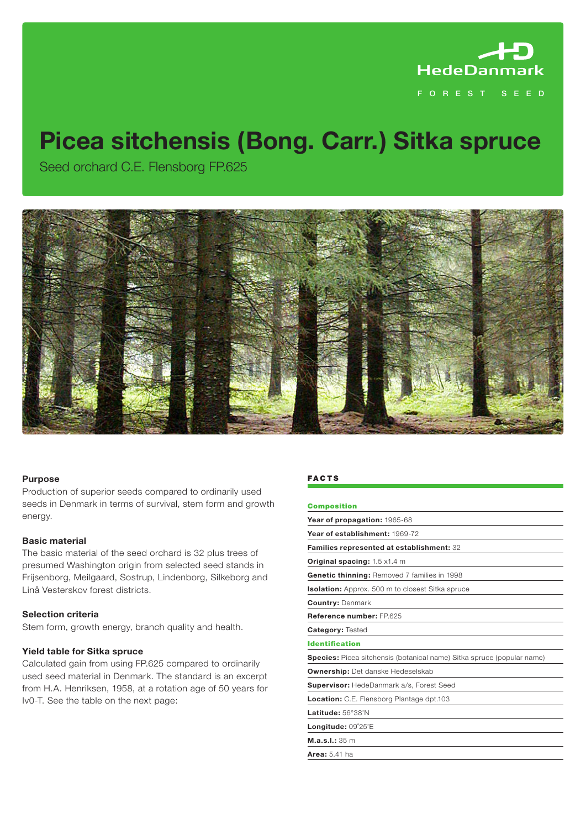

# **Picea sitchensis (Bong. Carr.) Sitka spruce**

Seed orchard C.E. Flensborg FP.625



# **Purpose**

Production of superior seeds compared to ordinarily used seeds in Denmark in terms of survival, stem form and growth energy.

# **Basic material**

The basic material of the seed orchard is 32 plus trees of presumed Washington origin from selected seed stands in Frijsenborg, Meilgaard, Sostrup, Lindenborg, Silkeborg and Linå Vesterskov forest districts.

# **Selection criteria**

Stem form, growth energy, branch quality and health.

# **Yield table for Sitka spruce**

Calculated gain from using FP.625 compared to ordinarily used seed material in Denmark. The standard is an excerpt from H.A. Henriksen, 1958, at a rotation age of 50 years for Iv0-T. See the table on the next page:

#### **FACTS**

| <b>Composition</b>                                                     |
|------------------------------------------------------------------------|
| Year of propagation: 1965-68                                           |
| Year of establishment: 1969-72                                         |
| Families represented at establishment: 32                              |
| <b>Original spacing:</b> 1.5 x1.4 m                                    |
| <b>Genetic thinning: Removed 7 families in 1998</b>                    |
| Isolation: Approx. 500 m to closest Sitka spruce                       |
| <b>Country: Denmark</b>                                                |
| Reference number: FP 625                                               |
| <b>Category: Tested</b>                                                |
| <b>Identification</b>                                                  |
| Species: Picea sitchensis (botanical name) Sitka spruce (popular name) |
| <b>Ownership:</b> Det danske Hedeselskab                               |
| <b>Supervisor:</b> HedeDanmark a/s, Forest Seed                        |
| Location: C.E. Flensborg Plantage dpt.103                              |
| Latitude: 56°38'N                                                      |
| Longitude: 09°25'E                                                     |
| M.a.s.1.:35 m                                                          |
| <b>Area: 5.41 ha</b>                                                   |
|                                                                        |